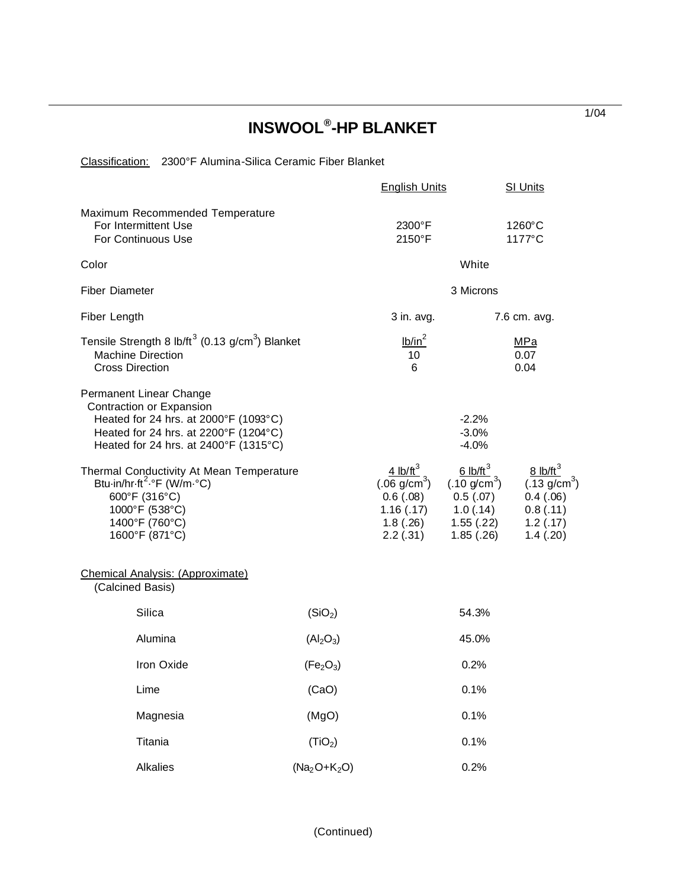## **INSWOOL® -HP BLANKET**

Classification: 2300°F Alumina-Silica Ceramic Fiber Blanket

|                                                                                                                                                                                |                                   | <b>English Units</b>                                                                   |                                                                                                   | SI Units                                                                                           |  |
|--------------------------------------------------------------------------------------------------------------------------------------------------------------------------------|-----------------------------------|----------------------------------------------------------------------------------------|---------------------------------------------------------------------------------------------------|----------------------------------------------------------------------------------------------------|--|
| Maximum Recommended Temperature<br>For Intermittent Use<br><b>For Continuous Use</b>                                                                                           |                                   | 2300°F<br>2150°F                                                                       | $1260^{\circ}$ C<br>1177°C                                                                        |                                                                                                    |  |
| Color                                                                                                                                                                          |                                   | White                                                                                  |                                                                                                   |                                                                                                    |  |
| <b>Fiber Diameter</b>                                                                                                                                                          |                                   | 3 Microns                                                                              |                                                                                                   |                                                                                                    |  |
| Fiber Length                                                                                                                                                                   |                                   | $3$ in. avg.                                                                           | 7.6 cm. avg.                                                                                      |                                                                                                    |  |
| Tensile Strength 8 lb/ft <sup>3</sup> (0.13 g/cm <sup>3</sup> ) Blanket<br><b>Machine Direction</b><br><b>Cross Direction</b>                                                  |                                   | lb/in <sup>2</sup><br>10<br>$6\phantom{1}$                                             |                                                                                                   | MPa<br>0.07<br>0.04                                                                                |  |
| Permanent Linear Change<br>Contraction or Expansion<br>Heated for 24 hrs. at 2000°F (1093°C)<br>Heated for 24 hrs. at 2200°F (1204°C)<br>Heated for 24 hrs. at 2400°F (1315°C) |                                   |                                                                                        | $-2.2%$<br>$-3.0%$<br>$-4.0%$                                                                     |                                                                                                    |  |
| Thermal Conductivity At Mean Temperature<br>Btu-in/hr-ft <sup>2</sup> .°F (W/m-°C)<br>600°F (316°C)<br>1000°F (538°C)<br>1400°F (760°C)<br>1600°F (871°C)                      |                                   | 4 $lb/ft^3$<br>$(.06 \text{ g/cm}^3)$<br>0.6(.08)<br>1.16(.17)<br>1.8(.26)<br>2.2(.31) | 6 lb/ft <sup>3</sup><br>$(.10 \text{ g/cm}^3)$<br>0.5(.07)<br>1.0(0.14)<br>1.55(.22)<br>1.85(.26) | $8$ lb/ft <sup>3</sup><br>$(.13 \text{ g/cm}^3)$<br>0.4(0.06)<br>0.8(0.11)<br>1.2(.17)<br>1.4(.20) |  |
| <b>Chemical Analysis: (Approximate)</b><br>(Calcined Basis)                                                                                                                    |                                   |                                                                                        |                                                                                                   |                                                                                                    |  |
| Silica                                                                                                                                                                         | (SiO <sub>2</sub> )               |                                                                                        | 54.3%                                                                                             |                                                                                                    |  |
| Alumina                                                                                                                                                                        | (Al <sub>2</sub> O <sub>3</sub> ) | 45.0%                                                                                  |                                                                                                   |                                                                                                    |  |
| Iron Oxide                                                                                                                                                                     | (Fe <sub>2</sub> O <sub>3</sub> ) | 0.2%                                                                                   |                                                                                                   |                                                                                                    |  |
| Lime                                                                                                                                                                           | (CaO)                             | 0.1%                                                                                   |                                                                                                   |                                                                                                    |  |
| Magnesia                                                                                                                                                                       | (MgO)                             | 0.1%                                                                                   |                                                                                                   |                                                                                                    |  |
| Titania                                                                                                                                                                        | (TiO <sub>2</sub> )               | 0.1%                                                                                   |                                                                                                   |                                                                                                    |  |
| Alkalies                                                                                                                                                                       | $(Na2O+K2O)$                      |                                                                                        | 0.2%                                                                                              |                                                                                                    |  |

1/04